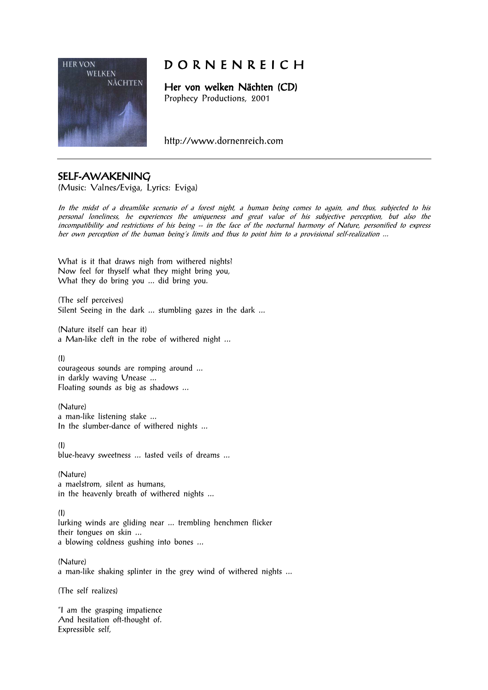

# D O R N E N R E I C H

Her von welken Nächten (CD) Prophecy Productions, 2001

http://www.dornenreich.com

### SELF-AWAKENING

(Music: Valnes/Eviga, Lyrics: Eviga)

In the midst of a dreamlike scenario of a forest night, a human being comes to again, and thus, subjected to his personal loneliness, he experiences the uniqueness and great value of his subjective perception, but also the incompatibility and restrictions of his being  $-$  in the face of the nocturnal harmony of Nature, personified to express her own perception of the human being's limits and thus to point him to a provisional self-realization ...

What is it that draws nigh from withered nights? Now feel for thyself what they might bring you, What they do bring you ... did bring you.

(The self perceives) Silent Seeing in the dark ... stumbling gazes in the dark ...

(Nature itself can hear it) a Man-like cleft in the robe of withered night ...

(I)

courageous sounds are romping around ... in darkly waving Unease ... Floating sounds as big as shadows ...

(Nature) a man-like listening stake ... In the slumber-dance of withered nights ...

(I)

blue-heavy sweetness ... tasted veils of dreams ...

(Nature) a maelstrom, silent as humans, in the heavenly breath of withered nights ...

(I)

lurking winds are gliding near ... trembling henchmen flicker their tongues on skin ... a blowing coldness gushing into bones ...

(Nature) a man-like shaking splinter in the grey wind of withered nights ...

(The self realizes)

"I am the grasping impatience And hesitation oft-thought of. Expressible self,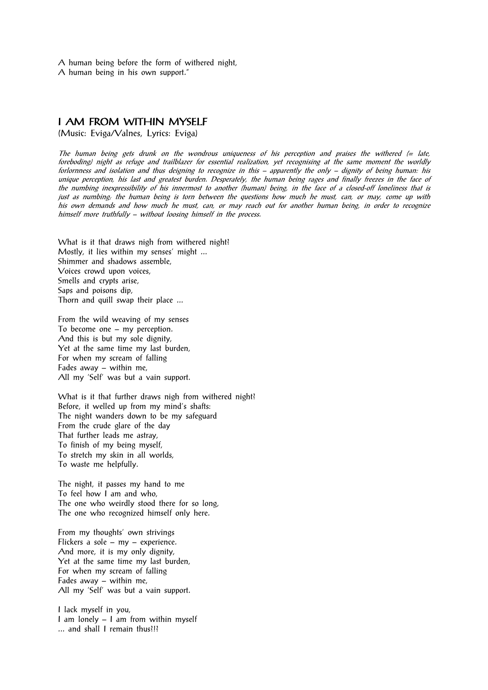A human being before the form of withered night, A human being in his own support."

### **I AM FROM WITHIN MYSELF**

(Music: Eviga/Valnes, Lyrics: Eviga)

The human being gets drunk on the wondrous uniqueness of his perception and praises the withered  $\epsilon$  late, foreboding) night as refuge and trailblazer for essential realization, yet recognising at the same moment the worldly forlornness and isolation and thus deigning to recognize in this – apparently the only – dignity of being human: his unique perception, his last and greatest burden. Desperately, the human being rages and finally freezes in the face of the numbing inexpressibility of his innermost to another (human) being, in the face of a closed-off loneliness that is just as numbing; the human being is torn between the questions how much he must, can, or may, come up with his own demands and how much he must, can, or may reach out for another human being, in order to recognize himself more truthfully – without loosing himself in the process.

What is it that draws nigh from withered night? Mostly, it lies within my senses' might ... Shimmer and shadows assemble, Voices crowd upon voices, Smells and crypts arise, Saps and poisons dip, Thorn and quill swap their place ...

From the wild weaving of my senses To become one – my perception. And this is but my sole dignity, Yet at the same time my last burden, For when my scream of falling Fades away – within me, All my 'Self' was but a vain support.

What is it that further draws nigh from withered night? Before, it welled up from my mind's shafts: The night wanders down to be my safeguard From the crude glare of the day That further leads me astray, To finish of my being myself, To stretch my skin in all worlds, To waste me helpfully.

The night, it passes my hand to me To feel how I am and who, The one who weirdly stood there for so long, The one who recognized himself only here.

From my thoughts' own strivings Flickers a sole – my – experience. And more, it is my only dignity, Yet at the same time my last burden, For when my scream of falling Fades away – within me, All my 'Self' was but a vain support.

I lack myself in you, I am lonely – I am from within myself ... and shall I remain thus?!?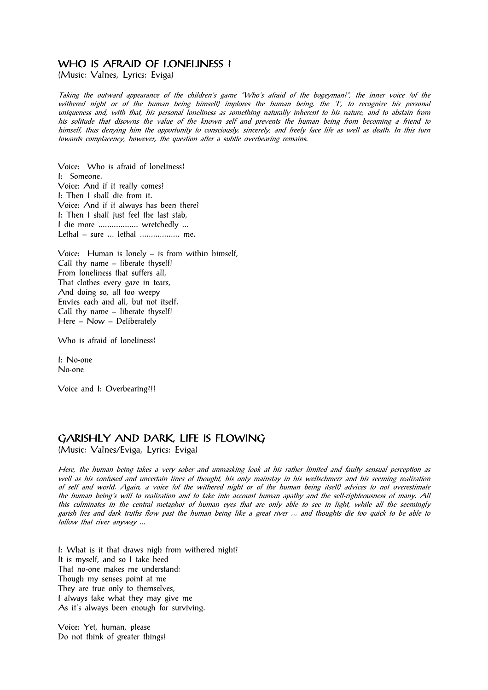### WHO IS AFRAID OF LONELINESS ?

(Music: Valnes, Lyrics: Eviga)

Taking the outward appearance of the children's game "Who's afraid of the bogeyman?", the inner voice (of the withered night or of the human being himself) implores the human being, the 'I', to recognize his personal uniqueness and, with that, his personal loneliness as something naturally inherent to his nature, and to abstain from his solitude that disowns the value of the known self and prevents the human being from becoming a friend to himself, thus denying him the opportunity to consciously, sincerely, and freely face life as well as death. In this turn towards complacency, however, the question after a subtle overbearing remains.

Voice: Who is afraid of loneliness? I: Someone. Voice: And if it really comes? I: Then I shall die from it. Voice: And if it always has been there? I: Then I shall just feel the last stab, I die more .................. wretchedly ... Lethal – sure ... lethal .................. me.

Voice: Human is lonely – is from within himself, Call thy name – liberate thyself! From loneliness that suffers all, That clothes every gaze in tears, And doing so, all too weepy Envies each and all, but not itself. Call thy name – liberate thyself! Here – Now – Deliberately

Who is afraid of loneliness?

I: No-one No-one

Voice and I: Overbearing?!?

### GARISHLY AND DARK, LIFE IS FLOWING

(Music: Valnes/Eviga, Lyrics: Eviga)

Here, the human being takes a very sober and unmasking look at his rather limited and faulty sensual perception as well as his confused and uncertain lines of thought, his only mainstay in his weltschmerz and his seeming realization of self and world. Again, a voice (of the withered night or of the human being itself) advices to not overestimate the human being's will to realization and to take into account human apathy and the self-righteousness of many. All this culminates in the central metaphor of human eyes that are only able to see in light, while all the seemingly garish lies and dark truths flow past the human being like a great river ... and thoughts die too quick to be able to follow that river anyway ...

I: What is it that draws nigh from withered night? It is myself, and so I take heed That no-one makes me understand: Though my senses point at me They are true only to themselves, I always take what they may give me As it's always been enough for surviving.

Voice: Yet, human, please Do not think of greater things!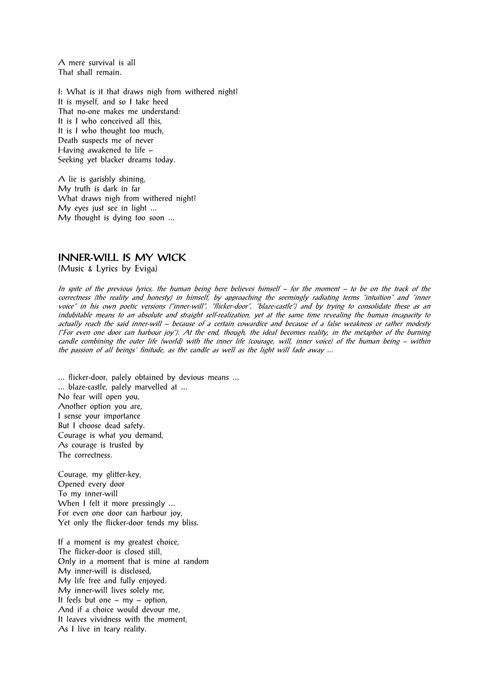A mere survival is all That shall remain.

I: What is it that draws nigh from withered night? It is myself, and so I take heed That no-one makes me understand: It is I who conceived all this, It is I who thought too much, Death suspects me of never Having awakened to life – Seeking yet blacker dreams today.

A lie is garishly shining, My truth is dark in far What draws nigh from withered night? My eyes just see in light ... My thought is dying too soon ...

## INNER-WILL IS MY WICK

(Music & Lyrics by Eviga)

In spite of the previous lyrics, the human being here believes himself – for the moment – to be on the track of the correctness (the reality and honesty) in himself, by approaching the seemingly radiating terms "intuition" and "inner voice" in his own poetic versions ("inner-will", "flicker-door", "blaze-castle") and by trying to consolidate these as an indubitable means to an absolute and straight self-realization, yet at the same time revealing the human incapacity to actually reach the said inner-will – because of a certain cowardice and because of a false weakness or rather modesty ("For even one door can harbour joy"). At the end, though, the ideal becomes reality, in the metaphor of the burning candle combining the outer life (world) with the inner life (courage, will, inner voice) of the human being – within the passion of all beings' finitude, as the candle as well as the light will fade away ...

... flicker-door, palely obtained by devious means ... ... blaze-castle, palely marvelled at ... No fear will open you, Another option you are, I sense your importance But I choose dead safety. Courage is what you demand, As courage is trusted by The correctness.

Courage, my glitter-key, Opened every door To my inner-will When I felt it more pressingly ... For even one door can harbour joy, Yet only the flicker-door tends my bliss.

If a moment is my greatest choice, The flicker-door is closed still, Only in a moment that is mine at random My inner-will is disclosed, My life free and fully enjoyed. My inner-will lives solely me, It feels but one – my – option, And if a choice would devour me, It leaves vividness with the moment, As I live in teary reality.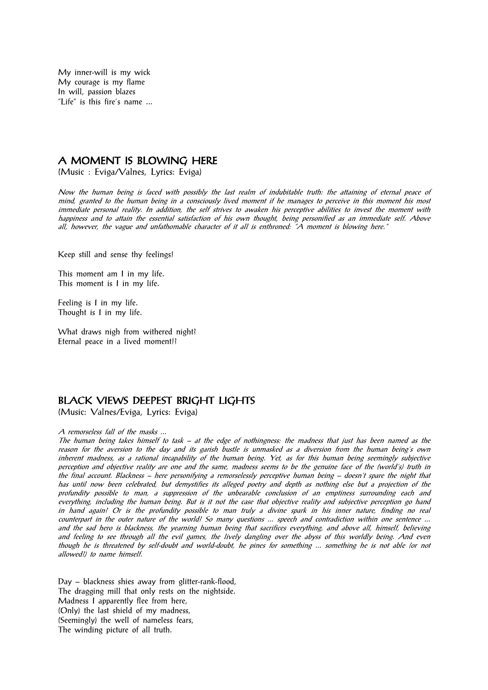My inner-will is my wick My courage is my flame In will, passion blazes "Life" is this fire's name ...

#### A MOMENT IS BLOWING HERE

(Music : Eviga/Valnes, Lyrics: Eviga)

Now the human being is faced with possibly the last realm of indubitable truth: the attaining of eternal peace of mind, granted to the human being in a consciously lived moment if he manages to perceive in this moment his most immediate personal reality. In addition, the self strives to awaken his perceptive abilities to invest the moment with happiness and to attain the essential satisfaction of his own thought, being personified as an immediate self. Above all, however, the vague and unfathomable character of it all is enthroned: "A moment is blowing here."

Keep still and sense thy feelings!

This moment am I in my life. This moment is I in my life.

Feeling is I in my life. Thought is I in my life.

What draws nigh from withered night? Eternal peace in a lived moment!?

### BLACK VIEWS DEEPEST BRIGHT LIGHTS

(Music: Valnes/Eviga, Lyrics: Eviga)

A remorseless fall of the masks ...

The human being takes himself to task – at the edge of nothingness: the madness that just has been named as the reason for the aversion to the day and its garish bustle is unmasked as a diversion from the human being's own inherent madness, as a rational incapability of the human being. Yet, as for this human being seemingly subjective perception and objective reality are one and the same, madness seems to be the genuine face of the (world's) truth in the final account. Blackness – here personifying a remorselessly perceptive human being – doesn't spare the night that has until now been celebrated, but demystifies its alleged poetry and depth as nothing else but a projection of the profundity possible to man, a suppression of the unbearable conclusion of an emptiness surrounding each and everything, including the human being. But is it not the case that objective reality and subjective perception go hand in hand again? Or is the profundity possible to man truly a divine spark in his inner nature, finding no real counterpart in the outer nature of the world? So many questions ... speech and contradiction within one sentence ... and the sad hero is blackness, the yearning human being that sacrifices everything, and above all, himself, believing and feeling to see through all the evil games, the lively dangling over the abyss of this worldly being. And even though he is threatened by self-doubt and world-doubt, he pines for something ... something he is not able (or not allowed?) to name himself.

Day – blackness shies away from glitter-rank-flood, The dragging mill that only rests on the nightside. Madness I apparently flee from here, (Only) the last shield of my madness, (Seemingly) the well of nameless fears, The winding picture of all truth.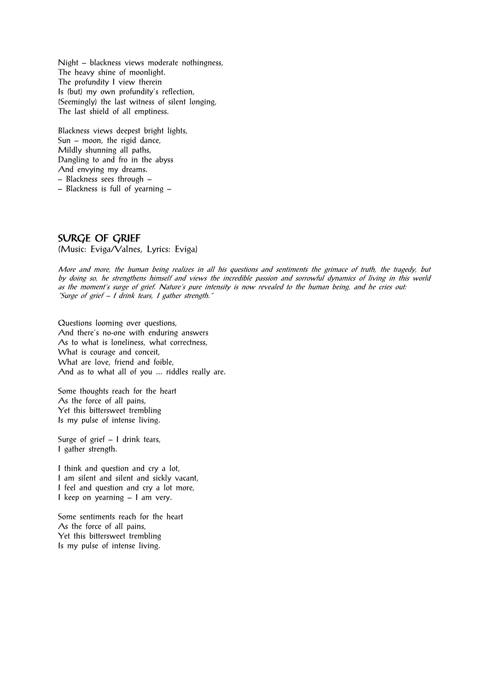Night – blackness views moderate nothingness, The heavy shine of moonlight. The profundity I view therein Is (but) my own profundity's reflection, (Seemingly) the last witness of silent longing, The last shield of all emptiness.

Blackness views deepest bright lights, Sun – moon, the rigid dance, Mildly shunning all paths, Dangling to and fro in the abyss And envying my dreams. – Blackness sees through –

– Blackness is full of yearning –

### SURGE OF GRIEF

(Music: Eviga/Valnes, Lyrics: Eviga)

More and more, the human being realizes in all his questions and sentiments the grimace of truth, the tragedy, but by doing so, he strengthens himself and views the incredible passion and sorrowful dynamics of living in this world as the moment's surge of grief. Nature's pure intensity is now revealed to the human being, and he cries out: "Surge of grief – I drink tears, I gather strength."

Questions looming over questions, And there's no-one with enduring answers As to what is loneliness, what correctness, What is courage and conceit, What are love, friend and foible, And as to what all of you ... riddles really are.

Some thoughts reach for the heart As the force of all pains, Yet this bittersweet trembling Is my pulse of intense living.

Surge of grief – I drink tears, I gather strength.

I think and question and cry a lot, I am silent and silent and sickly vacant, I feel and question and cry a lot more, I keep on yearning – I am very.

Some sentiments reach for the heart As the force of all pains, Yet this bittersweet trembling Is my pulse of intense living.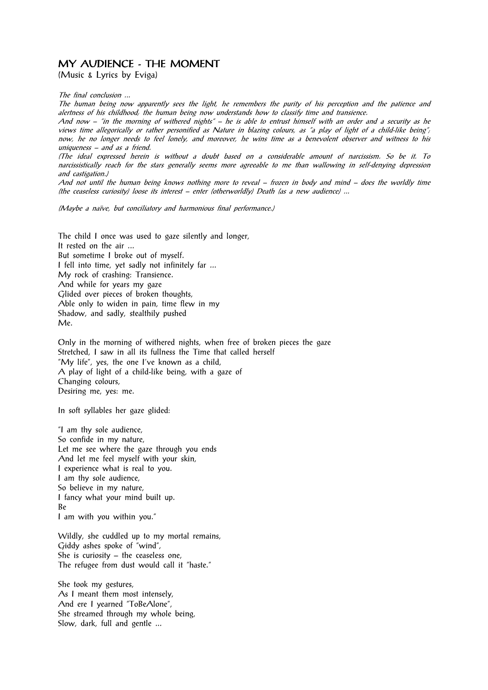### MY AUDIENCE - THE MOMENT

(Music & Lyrics by Eviga)

The final conclusion ...

The human being now apparently sees the light, he remembers the purity of his perception and the patience and alertness of his childhood; the human being now understands how to classify time and transience.

And now – "in the morning of withered nights" – he is able to entrust himself with an order and a security as he views time allegorically or rather personified as Nature in blazing colours, as "a play of light of a child-like being"; now, he no longer needs to feel lonely, and moreover, he wins time as a benevolent observer and witness to his uniqueness – and as a friend.

(The ideal expressed herein is without a doubt based on a considerable amount of narcissism. So be it. To narcissistically reach for the stars generally seems more agreeable to me than wallowing in self-denying depression and castigation.)

And not until the human being knows nothing more to reveal – frozen in body and mind – does the worldly time (the ceaseless curiosity) loose its interest – enter (otherworldly) Death (as a new audience) ...

(Maybe a naïve, but conciliatory and harmonious final performance.)

The child I once was used to gaze silently and longer, It rested on the air ... But sometime I broke out of myself. I fell into time, yet sadly not infinitely far ... My rock of crashing: Transience. And while for years my gaze Glided over pieces of broken thoughts, Able only to widen in pain, time flew in my Shadow, and sadly, stealthily pushed Me.

Only in the morning of withered nights, when free of broken pieces the gaze Stretched, I saw in all its fullness the Time that called herself "My life", yes, the one I've known as a child, A play of light of a child-like being, with a gaze of Changing colours, Desiring me, yes: me.

In soft syllables her gaze glided:

"I am thy sole audience, So confide in my nature, Let me see where the gaze through you ends And let me feel myself with your skin, I experience what is real to you. I am thy sole audience, So believe in my nature, I fancy what your mind built up. Be I am with you within you."

Wildly, she cuddled up to my mortal remains,

Giddy ashes spoke of "wind", She is curiosity – the ceaseless one, The refugee from dust would call it "haste."

She took my gestures, As I meant them most intensely, And ere I yearned "ToBeAlone", She streamed through my whole being, Slow, dark, full and gentle ...